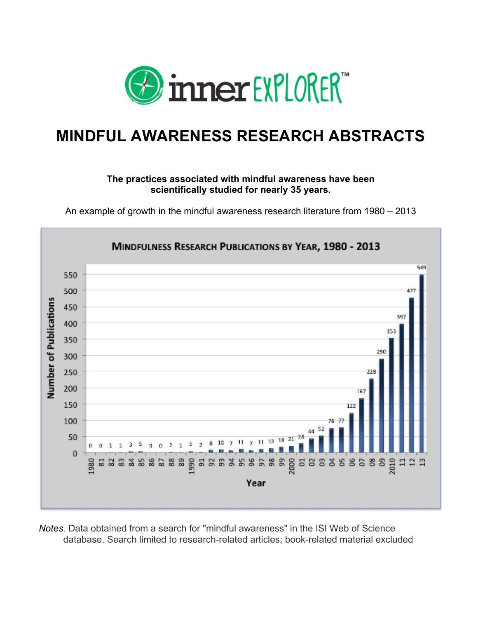

# **MINDFUL AWARENESS RESEARCH ABSTRACTS**

# **The practices associated with mindful awareness have been scientifically studied for nearly 35 years.**

An example of growth in the mindful awareness research literature from 1980 – 2013



*Notes.* Data obtained from a search for "mindful awareness" in the ISI Web of Science database. Search limited to research-related articles; book-related material excluded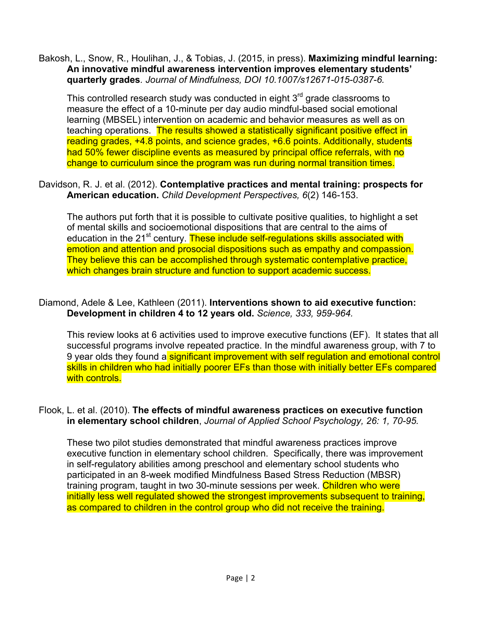Bakosh, L., Snow, R., Houlihan, J., & Tobias, J. (2015, in press). **Maximizing mindful learning: An innovative mindful awareness intervention improves elementary students' quarterly grades***. Journal of Mindfulness, DOI 10.1007/s12671-015-0387-6.*

This controlled research study was conducted in eight  $3<sup>rd</sup>$  grade classrooms to measure the effect of a 10-minute per day audio mindful-based social emotional learning (MBSEL) intervention on academic and behavior measures as well as on teaching operations. The results showed a statistically significant positive effect in reading grades, +4.8 points, and science grades, +6.6 points. Additionally, students had 50% fewer discipline events as measured by principal office referrals, with no change to curriculum since the program was run during normal transition times.

# Davidson, R. J. et al. (2012). **Contemplative practices and mental training: prospects for American education.** *Child Development Perspectives, 6*(2) 146-153.

The authors put forth that it is possible to cultivate positive qualities, to highlight a set of mental skills and socioemotional dispositions that are central to the aims of education in the 21<sup>st</sup> century. These include self-regulations skills associated with emotion and attention and prosocial dispositions such as empathy and compassion. They believe this can be accomplished through systematic contemplative practice, which changes brain structure and function to support academic success.

#### Diamond, Adele & Lee, Kathleen (2011). **Interventions shown to aid executive function: Development in children 4 to 12 years old.** *Science, 333, 959-964.*

This review looks at 6 activities used to improve executive functions (EF). It states that all successful programs involve repeated practice. In the mindful awareness group, with 7 to 9 year olds they found a significant improvement with self regulation and emotional control skills in children who had initially poorer EFs than those with initially better EFs compared with controls.

#### Flook, L. et al. (2010). **The effects of mindful awareness practices on executive function in elementary school children**, *Journal of Applied School Psychology, 26: 1, 70-95.*

These two pilot studies demonstrated that mindful awareness practices improve executive function in elementary school children. Specifically, there was improvement in self-regulatory abilities among preschool and elementary school students who participated in an 8-week modified Mindfulness Based Stress Reduction (MBSR) training program, taught in two 30-minute sessions per week. Children who were initially less well regulated showed the strongest improvements subsequent to training, as compared to children in the control group who did not receive the training.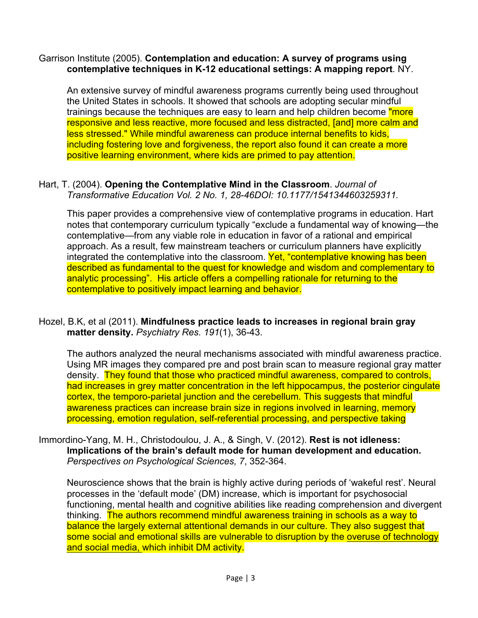## Garrison Institute (2005). **Contemplation and education: A survey of programs using contemplative techniques in K-12 educational settings: A mapping report***.* NY.

An extensive survey of mindful awareness programs currently being used throughout the United States in schools. It showed that schools are adopting secular mindful trainings because the techniques are easy to learn and help children become "more" responsive and less reactive, more focused and less distracted, [and] more calm and less stressed." While mindful awareness can produce internal benefits to kids, including fostering love and forgiveness, the report also found it can create a more positive learning environment, where kids are primed to pay attention.

## Hart, T. (2004). **Opening the Contemplative Mind in the Classroom**. *Journal of Transformative Education Vol. 2 No. 1, 28-46DOI: 10.1177/1541344603259311.*

This paper provides a comprehensive view of contemplative programs in education. Hart notes that contemporary curriculum typically "exclude a fundamental way of knowing—the contemplative—from any viable role in education in favor of a rational and empirical approach. As a result, few mainstream teachers or curriculum planners have explicitly integrated the contemplative into the classroom. Yet, "contemplative knowing has been described as fundamental to the quest for knowledge and wisdom and complementary to analytic processing". His article offers a compelling rationale for returning to the contemplative to positively impact learning and behavior.

#### Hozel, B.K, et al (2011). **Mindfulness practice leads to increases in regional brain gray matter density.** *Psychiatry Res. 191*(1), 36-43.

The authors analyzed the neural mechanisms associated with mindful awareness practice. Using MR images they compared pre and post brain scan to measure regional gray matter density. They found that those who practiced mindful awareness, compared to controls, had increases in grey matter concentration in the left hippocampus, the posterior cingulate cortex, the temporo-parietal junction and the cerebellum. This suggests that mindful awareness practices can increase brain size in regions involved in learning, memory processing, emotion regulation, self-referential processing, and perspective taking

#### Immordino-Yang, M. H., Christodoulou, J. A., & Singh, V. (2012). **Rest is not idleness: Implications of the brain's default mode for human development and education.** *Perspectives on Psychological Sciences, 7*, 352-364.

Neuroscience shows that the brain is highly active during periods of 'wakeful rest'. Neural processes in the 'default mode' (DM) increase, which is important for psychosocial functioning, mental health and cognitive abilities like reading comprehension and divergent thinking. The authors recommend mindful awareness training in schools as a way to balance the largely external attentional demands in our culture. They also suggest that some social and emotional skills are vulnerable to disruption by the overuse of technology and social media, which inhibit DM activity.